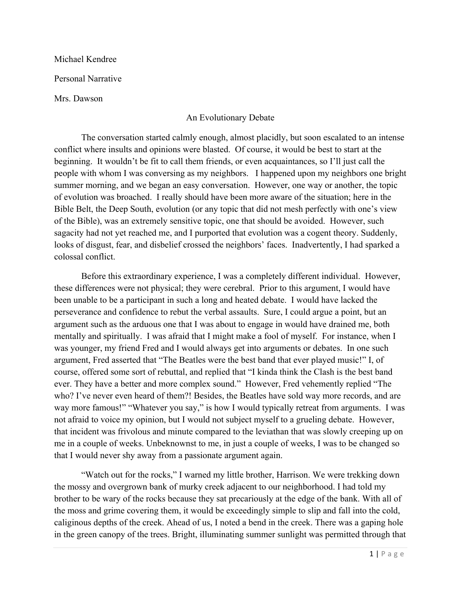Michael Kendree

Personal Narrative

Mrs. Dawson

## An Evolutionary Debate

The conversation started calmly enough, almost placidly, but soon escalated to an intense conflict where insults and opinions were blasted. Of course, it would be best to start at the beginning. It wouldn't be fit to call them friends, or even acquaintances, so I'll just call the people with whom I was conversing as my neighbors. I happened upon my neighbors one bright summer morning, and we began an easy conversation. However, one way or another, the topic of evolution was broached. I really should have been more aware of the situation; here in the Bible Belt, the Deep South, evolution (or any topic that did not mesh perfectly with one's view of the Bible), was an extremely sensitive topic, one that should be avoided. However, such sagacity had not yet reached me, and I purported that evolution was a cogent theory. Suddenly, looks of disgust, fear, and disbelief crossed the neighbors' faces. Inadvertently, I had sparked a colossal conflict.

Before this extraordinary experience, I was a completely different individual. However, these differences were not physical; they were cerebral. Prior to this argument, I would have been unable to be a participant in such a long and heated debate. I would have lacked the perseverance and confidence to rebut the verbal assaults. Sure, I could argue a point, but an argument such as the arduous one that I was about to engage in would have drained me, both mentally and spiritually. I was afraid that I might make a fool of myself. For instance, when I was younger, my friend Fred and I would always get into arguments or debates. In one such argument, Fred asserted that "The Beatles were the best band that ever played music!" I, of course, offered some sort of rebuttal, and replied that "I kinda think the Clash is the best band ever. They have a better and more complex sound." However, Fred vehemently replied "The who? I've never even heard of them?! Besides, the Beatles have sold way more records, and are way more famous!" "Whatever you say," is how I would typically retreat from arguments. I was not afraid to voice my opinion, but I would not subject myself to a grueling debate. However, that incident was frivolous and minute compared to the leviathan that was slowly creeping up on me in a couple of weeks. Unbeknownst to me, in just a couple of weeks, I was to be changed so that I would never shy away from a passionate argument again.

"Watch out for the rocks," I warned my little brother, Harrison. We were trekking down the mossy and overgrown bank of murky creek adjacent to our neighborhood. I had told my brother to be wary of the rocks because they sat precariously at the edge of the bank. With all of the moss and grime covering them, it would be exceedingly simple to slip and fall into the cold, caliginous depths of the creek. Ahead of us, I noted a bend in the creek. There was a gaping hole in the green canopy of the trees. Bright, illuminating summer sunlight was permitted through that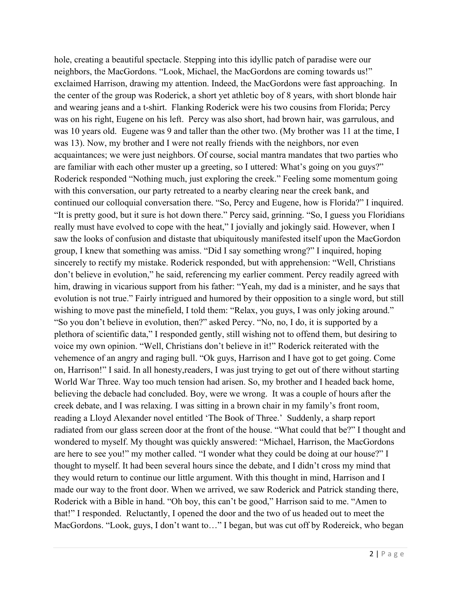hole, creating a beautiful spectacle. Stepping into this idyllic patch of paradise were our neighbors, the MacGordons. "Look, Michael, the MacGordons are coming towards us!" exclaimed Harrison, drawing my attention. Indeed, the MacGordons were fast approaching. In the center of the group was Roderick, a short yet athletic boy of 8 years, with short blonde hair and wearing jeans and a t-shirt. Flanking Roderick were his two cousins from Florida; Percy was on his right, Eugene on his left. Percy was also short, had brown hair, was garrulous, and was 10 years old. Eugene was 9 and taller than the other two. (My brother was 11 at the time, I was 13). Now, my brother and I were not really friends with the neighbors, nor even acquaintances; we were just neighbors. Of course, social mantra mandates that two parties who are familiar with each other muster up a greeting, so I uttered: What's going on you guys?" Roderick responded "Nothing much, just exploring the creek." Feeling some momentum going with this conversation, our party retreated to a nearby clearing near the creek bank, and continued our colloquial conversation there. "So, Percy and Eugene, how is Florida?" I inquired. "It is pretty good, but it sure is hot down there." Percy said, grinning. "So, I guess you Floridians really must have evolved to cope with the heat," I jovially and jokingly said. However, when I saw the looks of confusion and distaste that ubiquitously manifested itself upon the MacGordon group, I knew that something was amiss. "Did I say something wrong?" I inquired, hoping sincerely to rectify my mistake. Roderick responded, but with apprehension: "Well, Christians don't believe in evolution," he said, referencing my earlier comment. Percy readily agreed with him, drawing in vicarious support from his father: "Yeah, my dad is a minister, and he says that evolution is not true." Fairly intrigued and humored by their opposition to a single word, but still wishing to move past the minefield, I told them: "Relax, you guys, I was only joking around." "So you don't believe in evolution, then?" asked Percy. "No, no, I do, it is supported by a plethora of scientific data," I responded gently, still wishing not to offend them, but desiring to voice my own opinion. "Well, Christians don't believe in it!" Roderick reiterated with the vehemence of an angry and raging bull. "Ok guys, Harrison and I have got to get going. Come on, Harrison!" I said. In all honesty,readers, I was just trying to get out of there without starting World War Three. Way too much tension had arisen. So, my brother and I headed back home, believing the debacle had concluded. Boy, were we wrong. It was a couple of hours after the creek debate, and I was relaxing. I was sitting in a brown chair in my family's front room, reading a Lloyd Alexander novel entitled 'The Book of Three.' Suddenly, a sharp report radiated from our glass screen door at the front of the house. "What could that be?" I thought and wondered to myself. My thought was quickly answered: "Michael, Harrison, the MacGordons are here to see you!" my mother called. "I wonder what they could be doing at our house?" I thought to myself. It had been several hours since the debate, and I didn't cross my mind that they would return to continue our little argument. With this thought in mind, Harrison and I made our way to the front door. When we arrived, we saw Roderick and Patrick standing there, Roderick with a Bible in hand. "Oh boy, this can't be good," Harrison said to me. "Amen to that!" I responded. Reluctantly, I opened the door and the two of us headed out to meet the MacGordons. "Look, guys, I don't want to…" I began, but was cut off by Rodereick, who began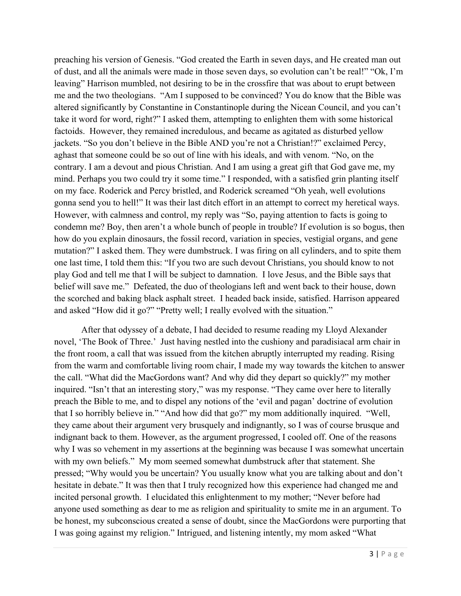preaching his version of Genesis. "God created the Earth in seven days, and He created man out of dust, and all the animals were made in those seven days, so evolution can't be real!" "Ok, I'm leaving" Harrison mumbled, not desiring to be in the crossfire that was about to erupt between me and the two theologians. "Am I supposed to be convinced? You do know that the Bible was altered significantly by Constantine in Constantinople during the Nicean Council, and you can't take it word for word, right?" I asked them, attempting to enlighten them with some historical factoids. However, they remained incredulous, and became as agitated as disturbed yellow jackets. "So you don't believe in the Bible AND you're not a Christian!?" exclaimed Percy, aghast that someone could be so out of line with his ideals, and with venom. "No, on the contrary. I am a devout and pious Christian. And I am using a great gift that God gave me, my mind. Perhaps you two could try it some time." I responded, with a satisfied grin planting itself on my face. Roderick and Percy bristled, and Roderick screamed "Oh yeah, well evolutions gonna send you to hell!" It was their last ditch effort in an attempt to correct my heretical ways. However, with calmness and control, my reply was "So, paying attention to facts is going to condemn me? Boy, then aren't a whole bunch of people in trouble? If evolution is so bogus, then how do you explain dinosaurs, the fossil record, variation in species, vestigial organs, and gene mutation?" I asked them. They were dumbstruck. I was firing on all cylinders, and to spite them one last time, I told them this: "If you two are such devout Christians, you should know to not play God and tell me that I will be subject to damnation. I love Jesus, and the Bible says that belief will save me." Defeated, the duo of theologians left and went back to their house, down the scorched and baking black asphalt street. I headed back inside, satisfied. Harrison appeared and asked "How did it go?" "Pretty well; I really evolved with the situation."

After that odyssey of a debate, I had decided to resume reading my Lloyd Alexander novel, 'The Book of Three.' Just having nestled into the cushiony and paradisiacal arm chair in the front room, a call that was issued from the kitchen abruptly interrupted my reading. Rising from the warm and comfortable living room chair, I made my way towards the kitchen to answer the call. "What did the MacGordons want? And why did they depart so quickly?" my mother inquired. "Isn't that an interesting story," was my response. "They came over here to literally preach the Bible to me, and to dispel any notions of the 'evil and pagan' doctrine of evolution that I so horribly believe in." "And how did that go?" my mom additionally inquired. "Well, they came about their argument very brusquely and indignantly, so I was of course brusque and indignant back to them. However, as the argument progressed, I cooled off. One of the reasons why I was so vehement in my assertions at the beginning was because I was somewhat uncertain with my own beliefs." My mom seemed somewhat dumbstruck after that statement. She pressed; "Why would you be uncertain? You usually know what you are talking about and don't hesitate in debate." It was then that I truly recognized how this experience had changed me and incited personal growth. I elucidated this enlightenment to my mother; "Never before had anyone used something as dear to me as religion and spirituality to smite me in an argument. To be honest, my subconscious created a sense of doubt, since the MacGordons were purporting that I was going against my religion." Intrigued, and listening intently, my mom asked "What